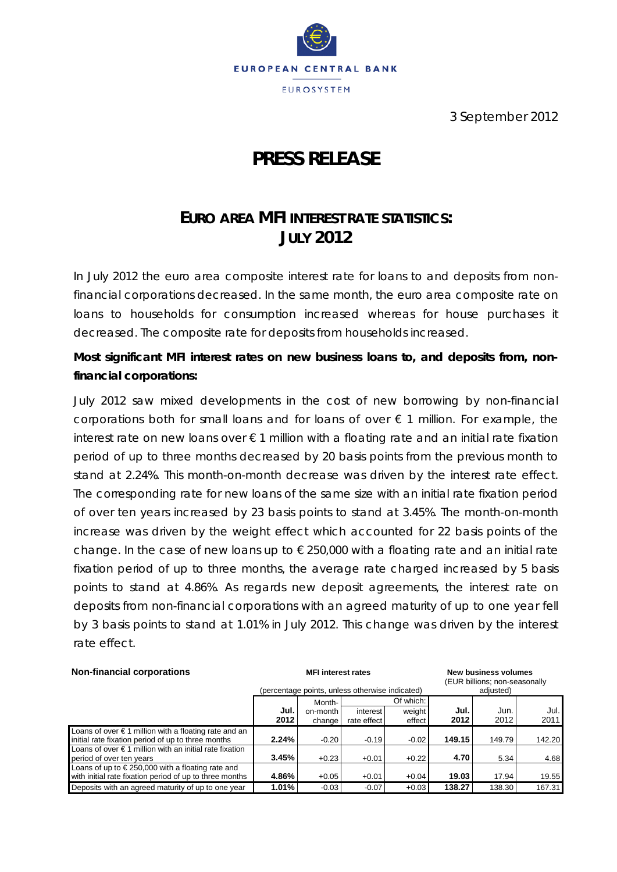

3 September 2012

# **PRESS RELEASE**

# **EURO AREA MFI INTEREST RATE STATISTICS: JULY 2012**

In July 2012 the euro area composite interest rate for loans to and deposits from nonfinancial corporations decreased. In the same month, the euro area composite rate on loans to households for consumption increased whereas for house purchases it decreased. The composite rate for deposits from households increased.

## **Most significant MFI interest rates on new business loans to, and deposits from, nonfinancial corporations:**

July 2012 saw mixed developments in the cost of new borrowing by non-financial corporations both for small loans and for loans of over  $\epsilon$  1 million. For example, the interest rate on new loans over  $\epsilon$  1 million with a floating rate and an initial rate fixation period of up to three months decreased by 20 basis points from the previous month to stand at 2.24%. This month-on-month decrease was driven by the interest rate effect. The corresponding rate for new loans of the same size with an initial rate fixation period of over ten years increased by 23 basis points to stand at 3.45%. The month-on-month increase was driven by the weight effect which accounted for 22 basis points of the change. In the case of new loans up to  $\epsilon$  250,000 with a floating rate and an initial rate fixation period of up to three months, the average rate charged increased by 5 basis points to stand at 4.86%. As regards new deposit agreements, the interest rate on deposits from non-financial corporations with an agreed maturity of up to one year fell by 3 basis points to stand at 1.01% in July 2012. This change was driven by the interest rate effect.

| <b>Non-financial corporations</b>                                                                                    |              | <b>MFI</b> interest rates | (percentage points, unless otherwise indicated) |                  | New business volumes<br>(EUR billions; non-seasonally<br>adjusted) |              |              |
|----------------------------------------------------------------------------------------------------------------------|--------------|---------------------------|-------------------------------------------------|------------------|--------------------------------------------------------------------|--------------|--------------|
|                                                                                                                      |              | Month-                    |                                                 |                  |                                                                    |              |              |
|                                                                                                                      | Jul.<br>2012 | on-month<br>change        | interest<br>rate effect                         | weight<br>effect | Jul.<br>2012                                                       | Jun.<br>2012 | Jul.<br>2011 |
| Loans of over $\epsilon$ 1 million with a floating rate and an<br>initial rate fixation period of up to three months | 2.24%        | $-0.20$                   | $-0.19$                                         | $-0.02$          | 149.15                                                             | 149.79       | 142.20       |
| Loans of over $\epsilon$ 1 million with an initial rate fixation<br>period of over ten years                         | 3.45%        | $+0.23$                   | $+0.01$                                         | $+0.22$          | 4.70                                                               | 5.34         | 4.68         |
| Loans of up to $\in$ 250,000 with a floating rate and<br>with initial rate fixation period of up to three months     | 4.86%        | $+0.05$                   | $+0.01$                                         | 19.03            | 17.94                                                              | 19.55        |              |
| Deposits with an agreed maturity of up to one year                                                                   | 1.01%        | $-0.03$                   | $-0.07$                                         | $+0.03$          | 138.27                                                             | 138.30       | 167.31       |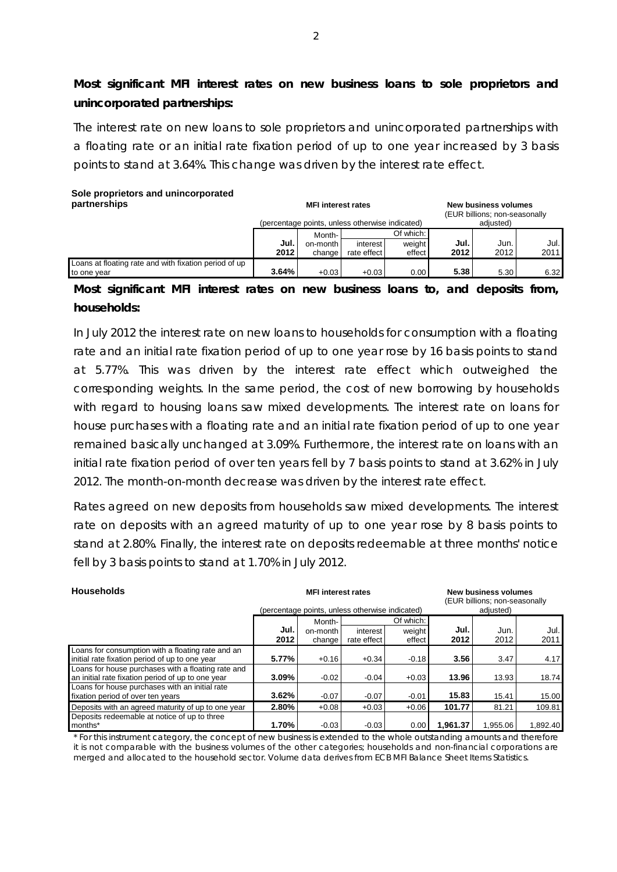## **Most significant MFI interest rates on new business loans to sole proprietors and unincorporated partnerships:**

The interest rate on new loans to sole proprietors and unincorporated partnerships with a floating rate or an initial rate fixation period of up to one year increased by 3 basis points to stand at 3.64%. This change was driven by the interest rate effect.

# **Sole proprietors and unincorporated**

| partnerships                                                         |              | <b>MFI</b> interest rates | (percentage points, unless otherwise indicated) |                | New business volumes<br>(EUR billions; non-seasonally<br>adiusted) |      |
|----------------------------------------------------------------------|--------------|---------------------------|-------------------------------------------------|----------------|--------------------------------------------------------------------|------|
|                                                                      | Jul.<br>2012 | Jul.<br>2012              | Jun.<br>2012                                    | Jul. I<br>2011 |                                                                    |      |
| Loans at floating rate and with fixation period of up<br>to one year | 3.64%        | $+0.03$                   | $+0.03$                                         | 5.38           | 5.30                                                               | 6.32 |

**Most significant MFI interest rates on new business loans to, and deposits from, households:**

In July 2012 the interest rate on new loans to households for consumption with a floating rate and an initial rate fixation period of up to one year rose by 16 basis points to stand at 5.77%. This was driven by the interest rate effect which outweighed the corresponding weights. In the same period, the cost of new borrowing by households with regard to housing loans saw mixed developments. The interest rate on loans for house purchases with a floating rate and an initial rate fixation period of up to one year remained basically unchanged at 3.09%. Furthermore, the interest rate on loans with an initial rate fixation period of over ten years fell by 7 basis points to stand at 3.62% in July 2012. The month-on-month decrease was driven by the interest rate effect.

Rates agreed on new deposits from households saw mixed developments. The interest rate on deposits with an agreed maturity of up to one year rose by 8 basis points to stand at 2.80%. Finally, the interest rate on deposits redeemable at three months' notice fell by 3 basis points to stand at 1.70% in July 2012.

| <b>Households</b>                                                                                       |              | <b>MFI</b> interest rates    | (percentage points, unless otherwise indicated) |                               |              | New business volumes<br>(EUR billions; non-seasonally<br>adjusted) |              |
|---------------------------------------------------------------------------------------------------------|--------------|------------------------------|-------------------------------------------------|-------------------------------|--------------|--------------------------------------------------------------------|--------------|
|                                                                                                         | Jul.<br>2012 | Month-<br>on-month<br>change | interest<br>rate effect                         | Of which:<br>weight<br>effect | Jul.<br>2012 | Jun.<br>2012                                                       | Jul.<br>2011 |
| Loans for consumption with a floating rate and an<br>initial rate fixation period of up to one year     | 5.77%        | $+0.16$                      | $+0.34$                                         | $-0.18$                       | 3.56         | 3.47                                                               | 4.17         |
| Loans for house purchases with a floating rate and<br>an initial rate fixation period of up to one year | 3.09%        | $-0.02$                      | $-0.04$                                         | $+0.03$                       | 13.96        | 13.93                                                              | 18.74        |
| Loans for house purchases with an initial rate<br>fixation period of over ten years                     | 3.62%        | $-0.07$                      | $-0.07$                                         | $-0.01$                       | 15.83        | 15.41                                                              | 15.00        |
| Deposits with an agreed maturity of up to one year                                                      | 2.80%        | $+0.08$                      | $+0.03$                                         | 101.77<br>$+0.06$             | 81.21        | 109.81                                                             |              |
| Deposits redeemable at notice of up to three<br>months*                                                 | 1.70%        | $-0.03$                      | $-0.03$                                         | 1.961.37                      | 1.955.06     | 1.892.40                                                           |              |

\* For this instrument category, the concept of new business is extended to the whole outstanding amounts and therefore it is not comparable with the business volumes of the other categories; households and non-financial corporations are merged and allocated to the household sector. Volume data derives from ECB MFI Balance Sheet Items Statistics.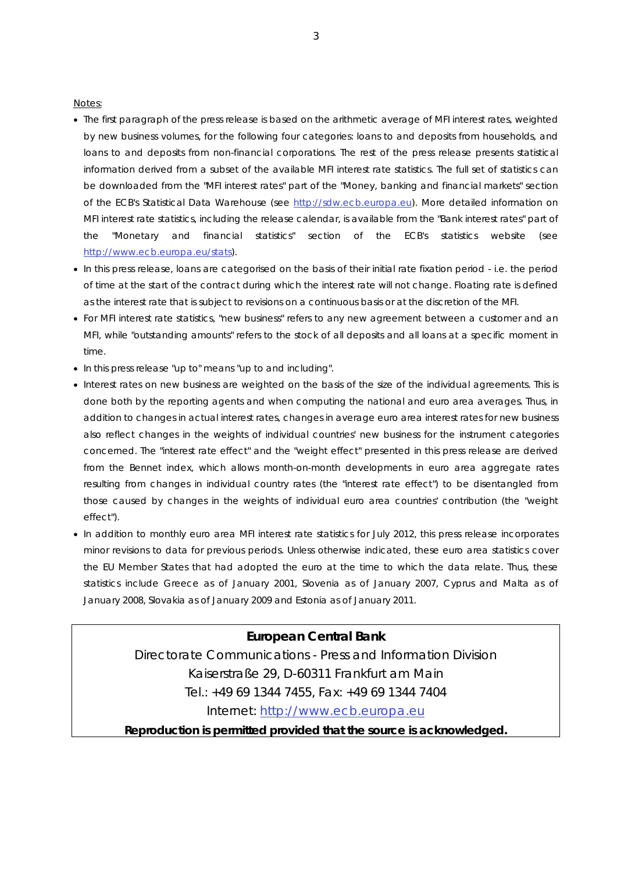*Notes:*

- *The first paragraph of the press release is based on the arithmetic average of MFI interest rates, weighted by new business volumes, for the following four categories: loans to and deposits from households, and loans to and deposits from non-financial corporations. The rest of the press release presents statistical information derived from a subset of the available MFI interest rate statistics. The full set of statistics can be downloaded from the "MFI interest rates" part of the "Money, banking and financial markets" section of the ECB's Statistical Data Warehouse (see [http://sdw.ecb.europa.eu\)](http://sdw.ecb.europa.eu/). More detailed information on MFI interest rate statistics, including the release calendar, is available from the "Bank interest rates" part of the "Monetary and financial statistics" section of the ECB's statistics website (see [http://www.ecb.europa.eu/stats\)](http://www.ecb.europa.eu/stats).*
- *In this press release, loans are categorised on the basis of their initial rate fixation period - i.e. the period of time at the start of the contract during which the interest rate will not change. Floating rate is defined as the interest rate that is subject to revisions on a continuous basis or at the discretion of the MFI.*
- *For MFI interest rate statistics, "new business" refers to any new agreement between a customer and an MFI, while "outstanding amounts" refers to the stock of all deposits and all loans at a specific moment in time.*
- *In this press release "up to" means "up to and including".*
- *Interest rates on new business are weighted on the basis of the size of the individual agreements. This is*  done both by the reporting agents and when computing the national and euro area averages. Thus, in *addition to changes in actual interest rates, changes in average euro area interest rates for new business*  also reflect changes in the weights of individual countries' new business for the instrument categories *concerned. The "interest rate effect" and the "weight effect" presented in this press release are derived from the Bennet index, which allows month-on-month developments in euro area aggregate rates resulting from changes in individual country rates (the "interest rate effect") to be disentangled from those caused by changes in the weights of individual euro area countries' contribution (the "weight effect").*
- *In addition to monthly euro area MFI interest rate statistics for July 2012, this press release incorporates minor revisions to data for previous periods. Unless otherwise indicated, these euro area statistics cover the EU Member States that had adopted the euro at the time to which the data relate. Thus, these statistics include Greece as of January 2001, Slovenia as of January 2007, Cyprus and Malta as of January 2008, Slovakia as of January 2009 and Estonia as of January 2011.*

### **European Central Bank**

Directorate Communications - Press and Information Division Kaiserstraße 29, D-60311 Frankfurt am Main Tel.: +49 69 1344 7455, Fax: +49 69 1344 7404 Internet: [http://www.ecb.europa.eu](http://www.ecb.europa.eu/)

**Reproduction is permitted provided that the source is acknowledged.**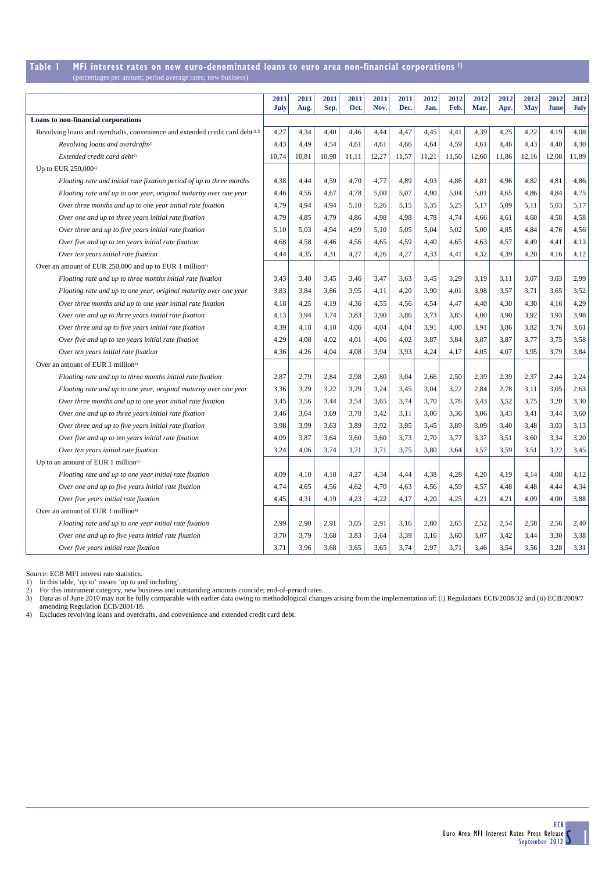#### **Table 1 MFI interest rates on new euro-denominated loans to euro area non-financial corporations 1)** es per annum; period average rates; new

|                                                                                            | 2011  | 2011  | 2011  | 2011  | 2011  | 2011  | 2012  | 2012  | 2012  | 2012  | 2012       | 2012        | 2012  |
|--------------------------------------------------------------------------------------------|-------|-------|-------|-------|-------|-------|-------|-------|-------|-------|------------|-------------|-------|
|                                                                                            | July  | Aug.  | Sep.  | Oct.  | Nov.  | Dec.  | Jan.  | Feb.  | Mar.  | Apr.  | <b>May</b> | <b>June</b> | July  |
| Loans to non-financial corporations                                                        |       |       |       |       |       |       |       |       |       |       |            |             |       |
| Revolving loans and overdrafts, convenience and extended credit card debt <sup>2),3)</sup> | 4,27  | 4,34  | 4,40  | 4,46  | 4,44  | 4,47  | 4,45  | 4,41  | 4,39  | 4,25  | 4,22       | 4,19        | 4,08  |
| Revolving loans and overdrafts <sup>2)</sup>                                               | 4,43  | 4,49  | 4,54  | 4,61  | 4,61  | 4,66  | 4,64  | 4,59  | 4,61  | 4,46  | 4,43       | 4,40        | 4,30  |
| Extended credit card debt <sup>2)</sup>                                                    | 10,74 | 10,81 | 10,98 | 11,11 | 12,27 | 11,57 | 11,21 | 11,50 | 12,60 | 11,86 | 12,16      | 12,08       | 11,89 |
| Up to EUR 250,000 <sup>4)</sup>                                                            |       |       |       |       |       |       |       |       |       |       |            |             |       |
| Floating rate and initial rate fixation period of up to three months                       | 4,38  | 4,44  | 4,59  | 4,70  | 4,77  | 4,89  | 4,93  | 4,86  | 4,81  | 4,96  | 4,82       | 4,81        | 4,86  |
| Floating rate and up to one year, original maturity over one year                          | 4,46  | 4,56  | 4,67  | 4,78  | 5,00  | 5,07  | 4,90  | 5,04  | 5,01  | 4,65  | 4,86       | 4,84        | 4,75  |
| Over three months and up to one year initial rate fixation                                 | 4,79  | 4,94  | 4,94  | 5,10  | 5,26  | 5,15  | 5,35  | 5,25  | 5,17  | 5,09  | 5,11       | 5,03        | 5,17  |
| Over one and up to three years initial rate fixation                                       | 4,79  | 4,85  | 4,79  | 4,86  | 4,98  | 4,98  | 4,78  | 4,74  | 4,66  | 4,61  | 4,60       | 4,58        | 4,58  |
| Over three and up to five years initial rate fixation                                      | 5,10  | 5,03  | 4,94  | 4,99  | 5,10  | 5,05  | 5,04  | 5,02  | 5,00  | 4,85  | 4,84       | 4,76        | 4,56  |
| Over five and up to ten years initial rate fixation                                        | 4,68  | 4,58  | 4,46  | 4,56  | 4,65  | 4,59  | 4,40  | 4,65  | 4,63  | 4,57  | 4,49       | 4,41        | 4,13  |
| Over ten years initial rate fixation                                                       | 4,44  | 4,35  | 4,31  | 4,27  | 4,26  | 4,27  | 4,33  | 4,41  | 4,32  | 4,39  | 4,20       | 4,16        | 4,12  |
| Over an amount of EUR 250,000 and up to EUR 1 million <sup>4)</sup>                        |       |       |       |       |       |       |       |       |       |       |            |             |       |
| Floating rate and up to three months initial rate fixation                                 | 3,43  | 3,40  | 3,45  | 3,46  | 3,47  | 3,63  | 3,45  | 3,29  | 3,19  | 3,11  | 3,07       | 3,03        | 2,99  |
| Floating rate and up to one year, original maturity over one year                          | 3,83  | 3,84  | 3,86  | 3,95  | 4,11  | 4,20  | 3,90  | 4,01  | 3,98  | 3,57  | 3,71       | 3,65        | 3,52  |
| Over three months and up to one year initial rate fixation                                 | 4,18  | 4,25  | 4,19  | 4,36  | 4,55  | 4,56  | 4,54  | 4,47  | 4,40  | 4,30  | 4,30       | 4,16        | 4,29  |
| Over one and up to three years initial rate fixation                                       | 4,13  | 3,94  | 3,74  | 3,83  | 3,90  | 3,86  | 3,73  | 3,85  | 4,00  | 3,90  | 3,92       | 3,93        | 3,98  |
| Over three and up to five years initial rate fixation                                      | 4,39  | 4,18  | 4,10  | 4,06  | 4,04  | 4,04  | 3,91  | 4,00  | 3,91  | 3,86  | 3,82       | 3,76        | 3,61  |
| Over five and up to ten years initial rate fixation                                        | 4,29  | 4,08  | 4,02  | 4,01  | 4,06  | 4,02  | 3,87  | 3,84  | 3,87  | 3,87  | 3,77       | 3,75        | 3,58  |
| Over ten years initial rate fixation                                                       | 4,36  | 4,26  | 4,04  | 4,08  | 3,94  | 3,93  | 4,24  | 4,17  | 4,05  | 4,07  | 3,95       | 3,79        | 3,84  |
| Over an amount of EUR 1 million <sup>4)</sup>                                              |       |       |       |       |       |       |       |       |       |       |            |             |       |
| Floating rate and up to three months initial rate fixation                                 | 2,87  | 2,79  | 2,84  | 2,98  | 2,80  | 3,04  | 2,66  | 2,50  | 2,39  | 2,39  | 2,37       | 2,44        | 2,24  |
| Floating rate and up to one year, original maturity over one year                          | 3,36  | 3,29  | 3,22  | 3,29  | 3,24  | 3,45  | 3,04  | 3,22  | 2,84  | 2,78  | 3,11       | 3,05        | 2,63  |
| Over three months and up to one year initial rate fixation                                 | 3,45  | 3,56  | 3,44  | 3,54  | 3,65  | 3,74  | 3,70  | 3,76  | 3,43  | 3,52  | 3,75       | 3,20        | 3,30  |
| Over one and up to three years initial rate fixation                                       | 3,46  | 3,64  | 3,69  | 3,78  | 3,42  | 3,11  | 3,06  | 3,36  | 3,06  | 3,43  | 3,41       | 3,44        | 3,60  |
| Over three and up to five years initial rate fixation                                      | 3,98  | 3,99  | 3,63  | 3,89  | 3,92  | 3,95  | 3,45  | 3,89  | 3,09  | 3,40  | 3,48       | 3,03        | 3,13  |
| Over five and up to ten years initial rate fixation                                        | 4,09  | 3,87  | 3,64  | 3,60  | 3,60  | 3,73  | 2,70  | 3,77  | 3,37  | 3,51  | 3,60       | 3,34        | 3,20  |
| Over ten years initial rate fixation                                                       | 3,24  | 4,06  | 3,74  | 3,71  | 3,71  | 3,75  | 3,80  | 3,64  | 3,57  | 3,59  | 3,51       | 3,22        | 3,45  |
| Up to an amount of EUR 1 million <sup>4)</sup>                                             |       |       |       |       |       |       |       |       |       |       |            |             |       |
| Floating rate and up to one year initial rate fixation                                     | 4,09  | 4,10  | 4,18  | 4,27  | 4,34  | 4,44  | 4,38  | 4,28  | 4,20  | 4,19  | 4,14       | 4,08        | 4,12  |
| Over one and up to five years initial rate fixation                                        | 4,74  | 4,65  | 4,56  | 4,62  | 4,70  | 4,63  | 4,56  | 4,59  | 4,57  | 4,48  | 4,48       | 4,44        | 4,34  |
| Over five years initial rate fixation                                                      | 4,45  | 4,31  | 4,19  | 4,23  | 4,22  | 4,17  | 4,20  | 4,25  | 4,21  | 4,21  | 4,09       | 4,00        | 3,88  |
| Over an amount of EUR 1 million <sup>4)</sup>                                              |       |       |       |       |       |       |       |       |       |       |            |             |       |
| Floating rate and up to one year initial rate fixation                                     | 2,99  | 2,90  | 2,91  | 3,05  | 2,91  | 3,16  | 2,80  | 2,65  | 2,52  | 2,54  | 2,58       | 2,56        | 2,40  |
| Over one and up to five years initial rate fixation                                        | 3,70  | 3,79  | 3,68  | 3,83  | 3,64  | 3,39  | 3,16  | 3,60  | 3,07  | 3,42  | 3,44       | 3,30        | 3,38  |
| Over five years initial rate fixation                                                      | 3,71  | 3,96  | 3,68  | 3,65  | 3,65  | 3,74  | 2,97  | 3,71  | 3,46  | 3,54  | 3,56       | 3,28        | 3,31  |

Source: ECB MFI interest rate statistics. 1) In this table, 'up to' means 'up to and including'. 2) For this instrument category, new business and outstanding amounts coincide; end-of-period rates.

3) Data as of June 2010 may not be fully comparable with earlier data owing to methodological changes arising from the implementation of: (i) Regulations ECB/2008/32 and (ii) ECB/2009/7 amending Regulation ECB/2001/18.

4) Excludes revolving loans and overdrafts, and convenience and extended credit card debt.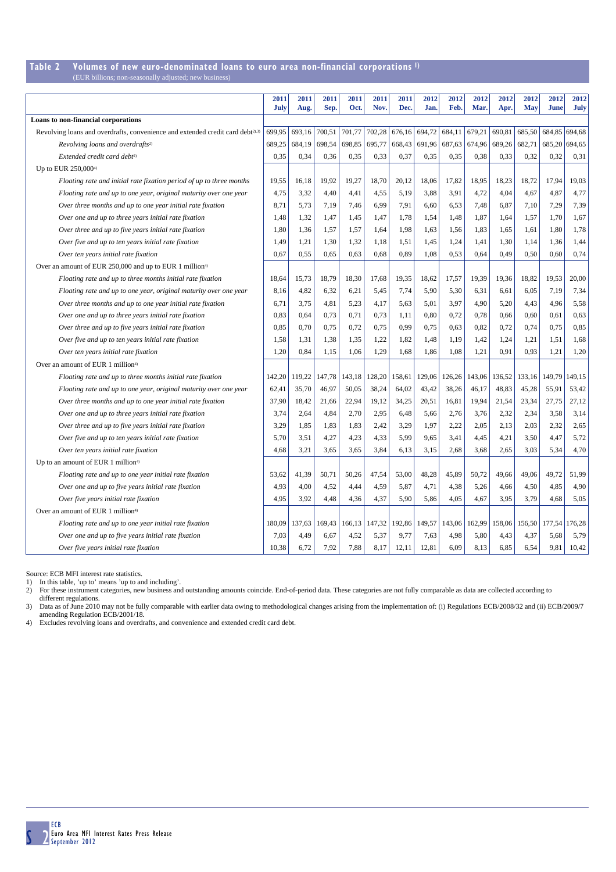# **Table 2 Volumes of new euro-denominated loans to euro area non-financial corporations 1)**

| (EUR billions; non-seasonally adjusted; new business) |  |  |  |
|-------------------------------------------------------|--|--|--|
|-------------------------------------------------------|--|--|--|

|                                                                                            | 2011<br>July | 2011<br>Aug. | 2011<br>Sep. | 2011<br>Oct. | 2011<br>Nov. | 2011<br>Dec. | 2012<br>Jan. | 2012<br>Feb. | 2012<br>Mar. | 2012<br>Apr. | 2012<br>May | 2012<br><b>June</b> | 2012<br><b>July</b> |
|--------------------------------------------------------------------------------------------|--------------|--------------|--------------|--------------|--------------|--------------|--------------|--------------|--------------|--------------|-------------|---------------------|---------------------|
| Loans to non-financial corporations                                                        |              |              |              |              |              |              |              |              |              |              |             |                     |                     |
| Revolving loans and overdrafts, convenience and extended credit card debt <sup>2),3)</sup> | 699.95       | 693,16       | 700,51       | 701,77       | 702,28       | 676,16       | 694,72       | 684,11       | 679,21       | 690,81       | 685,50      |                     | 684,85 694,68       |
| Revolving loans and overdrafts <sup>2)</sup>                                               | 689,25       | 684,19       | 698,54       | 698,85       | 695,77       | 668,43       | 691,96       | 687,63       | 674,96       | 689,26       | 682,71      | 685,20              | 694,65              |
| Extended credit card debt <sup>2)</sup>                                                    | 0,35         | 0,34         | 0,36         | 0.35         | 0,33         | 0,37         | 0,35         | 0,35         | 0,38         | 0.33         | 0,32        | 0,32                | 0,31                |
| Up to EUR 250,000 <sup>4)</sup>                                                            |              |              |              |              |              |              |              |              |              |              |             |                     |                     |
| Floating rate and initial rate fixation period of up to three months                       | 19,55        | 16,18        | 19,92        | 19,27        | 18,70        | 20,12        | 18,06        | 17,82        | 18,95        | 18,23        | 18,72       | 17,94               | 19,03               |
| Floating rate and up to one year, original maturity over one year                          | 4,75         | 3,32         | 4,40         | 4,41         | 4,55         | 5,19         | 3,88         | 3,91         | 4,72         | 4,04         | 4,67        | 4,87                | 4,77                |
| Over three months and up to one year initial rate fixation                                 | 8,71         | 5,73         | 7,19         | 7,46         | 6,99         | 7,91         | 6,60         | 6,53         | 7,48         | 6,87         | 7,10        | 7,29                | 7,39                |
| Over one and up to three years initial rate fixation                                       | 1,48         | 1,32         | 1,47         | 1,45         | 1,47         | 1,78         | 1,54         | 1,48         | 1,87         | 1,64         | 1,57        | 1,70                | 1,67                |
| Over three and up to five years initial rate fixation                                      | 1,80         | 1,36         | 1,57         | 1,57         | 1,64         | 1,98         | 1,63         | 1,56         | 1,83         | 1,65         | 1,61        | 1,80                | 1,78                |
| Over five and up to ten years initial rate fixation                                        | 1,49         | 1,21         | 1,30         | 1,32         | 1,18         | 1,51         | 1,45         | 1,24         | 1,41         | 1,30         | 1,14        | 1,36                | 1,44                |
| Over ten years initial rate fixation                                                       | 0,67         | 0,55         | 0,65         | 0,63         | 0.68         | 0,89         | 1,08         | 0,53         | 0,64         | 0,49         | 0,50        | 0,60                | 0,74                |
| Over an amount of EUR 250,000 and up to EUR 1 million <sup>4)</sup>                        |              |              |              |              |              |              |              |              |              |              |             |                     |                     |
| Floating rate and up to three months initial rate fixation                                 | 18,64        | 15,73        | 18,79        | 18,30        | 17,68        | 19,35        | 18,62        | 17,57        | 19,39        | 19,36        | 18,82       | 19,53               | 20,00               |
| Floating rate and up to one year, original maturity over one year                          | 8,16         | 4,82         | 6,32         | 6,21         | 5,45         | 7,74         | 5,90         | 5,30         | 6,31         | 6,61         | 6,05        | 7,19                | 7,34                |
| Over three months and up to one year initial rate fixation                                 | 6,71         | 3,75         | 4,81         | 5,23         | 4,17         | 5,63         | 5,01         | 3,97         | 4,90         | 5,20         | 4,43        | 4,96                | 5,58                |
| Over one and up to three years initial rate fixation                                       | 0.83         | 0,64         | 0,73         | 0,71         | 0,73         | 1,11         | 0,80         | 0,72         | 0,78         | 0,66         | 0,60        | 0,61                | 0.63                |
| Over three and up to five years initial rate fixation                                      | 0,85         | 0,70         | 0,75         | 0,72         | 0,75         | 0,99         | 0,75         | 0,63         | 0,82         | 0,72         | 0,74        | 0,75                | 0,85                |
| Over five and up to ten years initial rate fixation                                        | 1,58         | 1,31         | 1,38         | 1,35         | 1,22         | 1,82         | 1,48         | 1,19         | 1,42         | 1,24         | 1,21        | 1,51                | 1,68                |
| Over ten years initial rate fixation                                                       | 1,20         | 0,84         | 1,15         | 1,06         | 1,29         | 1,68         | 1,86         | 1,08         | 1,21         | 0.91         | 0.93        | 1,21                | 1,20                |
| Over an amount of EUR 1 million <sup>4)</sup>                                              |              |              |              |              |              |              |              |              |              |              |             |                     |                     |
| Floating rate and up to three months initial rate fixation                                 | 142,20       | 119,22       | 147,78       | 143,18       | 128,20       | 158,61       | 129,06       | 126,26       | 143,06       | 136,52       | 133,16      | 149,79              | 149,15              |
| Floating rate and up to one year, original maturity over one year                          | 62,41        | 35,70        | 46,97        | 50,05        | 38,24        | 64,02        | 43,42        | 38,26        | 46,17        | 48,83        | 45,28       | 55,91               | 53,42               |
| Over three months and up to one year initial rate fixation                                 | 37,90        | 18,42        | 21,66        | 22,94        | 19,12        | 34,25        | 20,51        | 16,81        | 19,94        | 21,54        | 23,34       | 27,75               | 27,12               |
| Over one and up to three years initial rate fixation                                       | 3,74         | 2,64         | 4,84         | 2,70         | 2,95         | 6,48         | 5,66         | 2,76         | 3,76         | 2,32         | 2,34        | 3,58                | 3,14                |
| Over three and up to five years initial rate fixation                                      | 3,29         | 1,85         | 1,83         | 1,83         | 2,42         | 3,29         | 1,97         | 2,22         | 2,05         | 2,13         | 2,03        | 2,32                | 2,65                |
| Over five and up to ten years initial rate fixation                                        | 5,70         | 3,51         | 4,27         | 4,23         | 4,33         | 5,99         | 9,65         | 3,41         | 4,45         | 4,21         | 3,50        | 4,47                | 5,72                |
| Over ten years initial rate fixation                                                       | 4,68         | 3,21         | 3,65         | 3,65         | 3,84         | 6,13         | 3,15         | 2,68         | 3,68         | 2,65         | 3,03        | 5,34                | 4,70                |
| Up to an amount of EUR 1 million <sup>4)</sup>                                             |              |              |              |              |              |              |              |              |              |              |             |                     |                     |
| Floating rate and up to one year initial rate fixation                                     | 53,62        | 41,39        | 50,71        | 50,26        | 47,54        | 53,00        | 48,28        | 45,89        | 50,72        | 49,66        | 49,06       | 49,72               | 51,99               |
| Over one and up to five years initial rate fixation                                        | 4,93         | 4,00         | 4,52         | 4,44         | 4,59         | 5,87         | 4,71         | 4,38         | 5,26         | 4,66         | 4,50        | 4,85                | 4,90                |
| Over five years initial rate fixation                                                      | 4,95         | 3,92         | 4,48         | 4,36         | 4,37         | 5,90         | 5,86         | 4,05         | 4,67         | 3,95         | 3,79        | 4,68                | 5,05                |
| Over an amount of EUR 1 million <sup>4)</sup>                                              |              |              |              |              |              |              |              |              |              |              |             |                     |                     |
| Floating rate and up to one year initial rate fixation                                     | 180,09       | 137,63       | 169,43       | 166,13       | 147,32       | 192,86       | 149,57       | 143,06       | 162,99       | 158,06       | 156,50      | 177,54              | 176,28              |
| Over one and up to five years initial rate fixation                                        | 7,03         | 4,49         | 6,67         | 4,52         | 5,37         | 9,77         | 7,63         | 4,98         | 5,80         | 4,43         | 4,37        | 5,68                | 5,79                |
| Over five years initial rate fixation                                                      | 10,38        | 6,72         | 7,92         | 7,88         | 8,17         | 12,11        | 12,81        | 6,09         | 8,13         | 6,85         | 6,54        | 9,81                | 10,42               |

Source: ECB MFI interest rate statistics.

1) In this table, 'up to' means 'up to and including'.<br>2) For these instrument categories, new business and outstanding amounts coincide. End-of-period data. These categories are not fully comparable as data are collected

different regulations. 3) Data as of June 2010 may not be fully comparable with earlier data owing to methodological changes arising from the implementation of: (i) Regulations ECB/2008/32 and (ii) ECB/2009/7 amending Regulation ECB/2001/18.<br>4)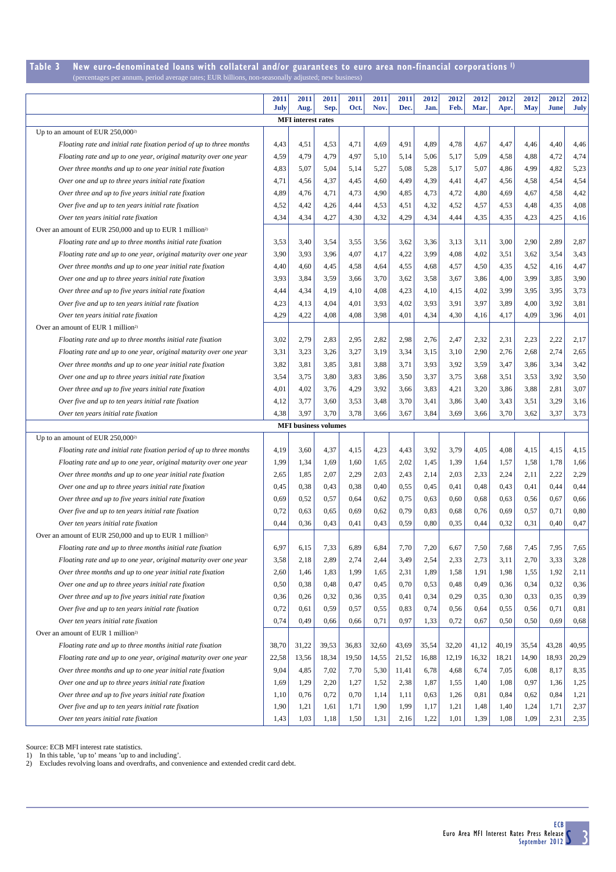### **Table 3 New euro-denominated loans with collateral and/or guarantees to euro area non-financial corporations 1)** (percentages per annum, period average rates; EUR billions, non-seasonally adjusted; new business)

|                                                                                             | 2011<br><b>July</b> | 2011<br>Aug.                | 2011<br>Sep. | 2011<br>Oct. | 2011<br>Nov. | 2011<br>Dec. | 2012<br>Jan. | 2012<br>Feb. | 2012<br>Mar. | 2012<br>Apr. | 2012<br><b>May</b> | 2012<br>June | 2012<br><b>July</b> |
|---------------------------------------------------------------------------------------------|---------------------|-----------------------------|--------------|--------------|--------------|--------------|--------------|--------------|--------------|--------------|--------------------|--------------|---------------------|
|                                                                                             |                     | <b>MFI</b> interest rates   |              |              |              |              |              |              |              |              |                    |              |                     |
| Up to an amount of EUR 250,000 <sup>2)</sup>                                                |                     |                             |              |              |              |              |              |              |              |              |                    |              |                     |
| Floating rate and initial rate fixation period of up to three months                        | 4,43                | 4,51                        | 4,53         | 4,71         | 4,69         | 4,91         | 4,89         | 4,78         | 4,67         | 4,47         | 4,46               | 4,40         | 4,46                |
| Floating rate and up to one year, original maturity over one year                           | 4,59                | 4,79                        | 4,79         | 4,97         | 5,10         | 5,14         | 5,06         | 5,17         | 5,09         | 4,58         | 4,88               | 4,72         | 4,74                |
| Over three months and up to one year initial rate fixation                                  | 4,83                | 5,07                        | 5,04         | 5,14         | 5,27         | 5,08         | 5,28         | 5,17         | 5,07         | 4,86         | 4,99               | 4,82         | 5,23                |
| Over one and up to three years initial rate fixation                                        | 4,71                | 4,56                        | 4,37         | 4,45         | 4,60         | 4,49         | 4,39         | 4,41         | 4,47         | 4,56         | 4,58               | 4,54         | 4,54                |
| Over three and up to five years initial rate fixation                                       | 4,89                | 4,76                        | 4,71         | 4,73         | 4,90         | 4,85         | 4,73         | 4,72         | 4,80         | 4,69         | 4,67               | 4,58         | 4,42                |
| Over five and up to ten years initial rate fixation                                         | 4,52                | 4,42                        | 4,26         | 4,44         | 4,53         | 4,51         | 4,32         | 4,52         | 4,57         | 4,53         | 4,48               | 4,35         | 4,08                |
| Over ten years initial rate fixation                                                        | 4,34                | 4,34                        | 4,27         | 4,30         | 4,32         | 4,29         | 4,34         | 4,44         | 4,35         | 4,35         | 4,23               | 4,25         | 4,16                |
| Over an amount of EUR 250,000 and up to EUR 1 million <sup>2)</sup>                         |                     |                             |              |              |              |              |              |              |              |              |                    |              |                     |
| Floating rate and up to three months initial rate fixation                                  | 3,53                | 3,40                        | 3,54         | 3,55         | 3,56         | 3,62         | 3,36         | 3,13         | 3,11         | 3,00         | 2,90               | 2,89         | 2,87                |
| Floating rate and up to one year, original maturity over one year                           | 3,90                | 3,93                        | 3,96         | 4,07         | 4,17         | 4,22         | 3,99         | 4,08         | 4,02         | 3,51         | 3,62               | 3,54         | 3,43                |
| Over three months and up to one year initial rate fixation                                  | 4,40                | 4,60                        | 4,45         | 4,58         | 4,64         | 4,55         | 4,68         | 4,57         | 4,50         | 4,35         | 4,52               | 4,16         | 4,47                |
| Over one and up to three years initial rate fixation                                        | 3,93                | 3,84                        | 3,59         | 3,66         | 3,70         | 3,62         | 3,58         | 3,67         | 3,86         | 4,00         | 3,99               | 3,85         | 3,90                |
| Over three and up to five years initial rate fixation                                       | 4,44                | 4,34                        | 4,19         | 4,10         | 4,08         | 4,23         | 4,10         | 4,15         | 4,02         | 3,99         | 3,95               | 3,95         | 3,73                |
| Over five and up to ten years initial rate fixation                                         | 4,23                | 4,13                        | 4,04         | 4,01         | 3,93         | 4,02         | 3,93         | 3,91         | 3,97         | 3,89         | 4,00               | 3,92         | 3,81                |
| Over ten years initial rate fixation                                                        | 4,29                | 4,22                        | 4,08         | 4,08         | 3,98         | 4,01         | 4,34         | 4,30         | 4,16         | 4,17         | 4,09               | 3,96         | 4,01                |
| Over an amount of EUR 1 million <sup>2)</sup>                                               |                     |                             |              |              |              |              |              |              |              |              |                    |              |                     |
| Floating rate and up to three months initial rate fixation                                  | 3,02                | 2,79                        | 2,83         | 2,95         | 2,82         | 2,98         | 2,76         | 2,47         | 2,32         | 2,31         | 2,23               | 2,22         | 2,17                |
| Floating rate and up to one year, original maturity over one year                           | 3,31                | 3,23                        | 3,26         | 3,27         | 3,19         | 3,34         | 3,15         | 3,10         | 2,90         | 2,76         | 2,68               | 2,74         | 2,65                |
| Over three months and up to one year initial rate fixation                                  | 3,82                | 3,81                        | 3,85         | 3,81         | 3,88         | 3,71         | 3,93         | 3,92         | 3,59         | 3,47         | 3,86               | 3,34         | 3,42                |
| Over one and up to three years initial rate fixation                                        | 3,54                | 3,75                        | 3,80         | 3,83         | 3,86         | 3,50         | 3,37         | 3,75         | 3,68         | 3,51         | 3,53               | 3,92         | 3,50                |
| Over three and up to five years initial rate fixation                                       | 4,01                | 4,02                        | 3,76         | 4,29         | 3,92         | 3,66         | 3,83         | 4,21         | 3,20         | 3,86         | 3,88               | 2,81         | 3,07                |
| Over five and up to ten years initial rate fixation                                         | 4,12                | 3,77                        | 3,60         | 3,53         | 3,48         | 3,70         | 3,41         | 3,86         | 3,40         | 3,43         | 3,51               | 3,29         | 3,16                |
| Over ten years initial rate fixation                                                        | 4,38                | 3,97                        | 3,70         | 3,78         | 3,66         | 3,67         | 3,84         | 3,69         | 3,66         | 3,70         | 3,62               | 3,37         | 3,73                |
|                                                                                             |                     | <b>MFI</b> business volumes |              |              |              |              |              |              |              |              |                    |              |                     |
| Up to an amount of EUR 250,000 <sup>2)</sup>                                                |                     |                             |              |              |              |              |              |              |              |              |                    |              |                     |
| Floating rate and initial rate fixation period of up to three months                        | 4,19                | 3,60                        | 4,37         | 4,15         | 4,23         | 4,43         | 3,92         | 3,79         | 4,05         | 4,08         | 4,15               | 4,15         | 4,15                |
| Floating rate and up to one year, original maturity over one year                           | 1,99                | 1,34                        | 1,69         | 1,60         | 1,65         | 2,02         | 1,45         | 1,39         | 1,64         | 1,57         | 1,58               | 1,78         | 1,66                |
| Over three months and up to one year initial rate fixation                                  | 2,65                | 1,85                        | 2,07         | 2,29         | 2,03         | 2,43         | 2,14         | 2,03         | 2,33         | 2,24         | 2,11               | 2,22         | 2,29                |
| Over one and up to three years initial rate fixation                                        | 0,45                | 0,38                        | 0,43         | 0,38         | 0,40         | 0,55         | 0,45         | 0,41         | 0,48         | 0,43         | 0,41               | 0,44         | 0,44                |
| Over three and up to five years initial rate fixation                                       | 0,69                | 0,52                        | 0,57         | 0,64         | 0,62         | 0,75         | 0,63         | 0,60         | 0,68         | 0,63         | 0,56               | 0,67         | 0,66                |
| Over five and up to ten years initial rate fixation                                         | 0,72                | 0,63                        | 0,65         | 0,69         | 0,62         | 0,79         | 0,83         | 0.68         | 0,76         | 0,69         | 0,57               | 0,71         | 0,80                |
| Over ten years initial rate fixation                                                        | 0,44                | 0,36                        | 0,43         | 0,41         | 0,43         | 0,59         | 0,80         | 0,35         | 0,44         | 0,32         | 0,31               | 0,40         | 0,47                |
| Over an amount of EUR 250,000 and up to EUR 1 million <sup>2)</sup>                         |                     |                             |              |              |              |              |              |              |              |              |                    |              |                     |
| Floating rate and up to three months initial rate fixation                                  | 6,97                | 6,15                        | 7,33         | 6,89         | 6,84         | 7,70         | 7,20         | 6,67         | 7,50         | 7,68         | 7,45               | 7,95         | 7,65                |
| Floating rate and up to one year, original maturity over one year                           | 3,58                | 2,18                        | 2,89         | 2,74         | 2,44         | 3,49         | 2,54         | 2,33         | 2,73         | 3,11         | 2,70               | 3,33         | 3,28                |
| Over three months and up to one year initial rate fixation                                  | 2,60                | 1,46                        | 1,83         | 1,99         | 1,65         | 2,31         | 1,89         | 1,58         | 1,91         | 1,98         | 1,55               | 1,92         | 2,11                |
| Over one and up to three years initial rate fixation                                        | 0,50                | 0,38                        | 0,48         | 0,47         | 0,45         | 0,70         | 0,53         | 0,48         | 0,49         | 0,36         | 0,34               | 0,32         | 0,36                |
| Over three and up to five years initial rate fixation                                       | 0,36                | 0,26                        | 0,32         | 0,36         | 0,35         | 0,41         | 0,34         | 0,29         | 0,35         | 0,30         | 0,33               | 0,35         | 0,39                |
|                                                                                             | 0,72                |                             | 0,59         | 0,57         | 0,55         | 0,83         | 0,74         | 0,56         | 0,64         | 0,55         |                    | 0,71         | 0,81                |
| Over five and up to ten years initial rate fixation<br>Over ten years initial rate fixation | 0,74                | 0,61<br>0,49                | 0,66         | 0,66         | 0,71         | 0,97         | 1,33         | 0,72         | 0,67         | 0,50         | 0,56<br>0,50       | 0,69         | 0,68                |
| Over an amount of EUR 1 million <sup>2)</sup>                                               |                     |                             |              |              |              |              |              |              |              |              |                    |              |                     |
| Floating rate and up to three months initial rate fixation                                  |                     |                             |              |              |              |              |              |              |              |              |                    |              |                     |
|                                                                                             | 38,70               | 31,22                       | 39,53        | 36,83        | 32,60        | 43,69        | 35,54        | 32,20        | 41,12        | 40,19        | 35,54              | 43,28        | 40,95               |
| Floating rate and up to one year, original maturity over one year                           | 22,58               | 13,56                       | 18,34        | 19,50        | 14,55        | 21,52        | 16,88        | 12,19        | 16,32        | 18,21        | 14,90              | 18,93        | 20,29               |
| Over three months and up to one year initial rate fixation                                  | 9,04                | 4,85                        | 7,02         | 7,70         | 5,30         | 11,41        | 6,78         | 4,68         | 6,74         | 7,05         | 6,08               | 8,17         | 8,35                |
| Over one and up to three years initial rate fixation                                        | 1,69                | 1,29                        | 2,20         | 1,27         | 1,52         | 2,38         | 1,87         | 1,55         | 1,40         | 1,08         | 0,97               | 1,36         | 1,25                |
| Over three and up to five years initial rate fixation                                       | 1,10                | 0,76                        | 0,72         | 0,70         | 1,14         | 1,11         | 0,63         | 1,26         | 0,81         | 0,84         | 0,62               | 0,84         | 1,21                |
| Over five and up to ten years initial rate fixation                                         | 1,90                | 1,21                        | 1,61         | 1,71         | 1,90         | 1,99         | 1,17         | 1,21         | 1,48         | 1,40         | 1,24               | 1,71         | 2,37<br>2,35        |
| Over ten years initial rate fixation                                                        | 1,43                | 1,03                        | 1,18         | 1,50         | 1,31         | 2,16         | 1,22         | 1,01         | 1,39         | 1,08         | 1,09               | 2,31         |                     |

Source: ECB MFI interest rate statistics. 1) In this table, 'up to' means 'up to and including'. 2) Excludes revolving loans and overdrafts, and convenience and extended credit card debt.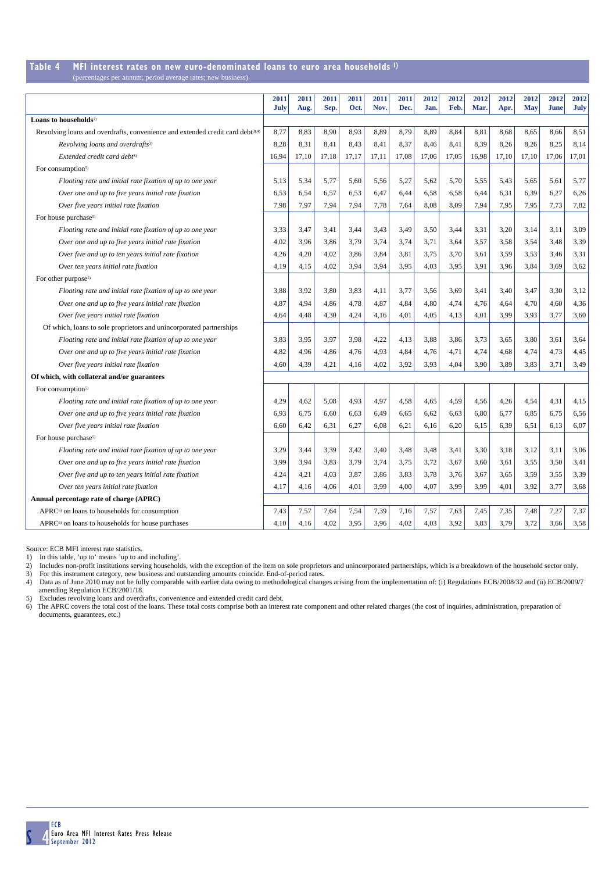# **Table 4 MFI interest rates on new euro-denominated loans to euro area households 1)**

| (percentages per annum; period average rates; new business) |  |  |  |
|-------------------------------------------------------------|--|--|--|
|                                                             |  |  |  |

|                                                                                            | 2011<br>July | 2011<br>Aug. | 2011<br>Sep. | 2011<br>Oct. | 2011<br>Nov. | 2011<br>Dec. | 2012<br>Jan. | 2012<br>Feb. | 2012<br>Mar. | 2012<br>Apr. | 2012<br><b>May</b> | 2012<br><b>June</b> | 2012<br><b>July</b> |
|--------------------------------------------------------------------------------------------|--------------|--------------|--------------|--------------|--------------|--------------|--------------|--------------|--------------|--------------|--------------------|---------------------|---------------------|
| Loans to households <sup>2)</sup>                                                          |              |              |              |              |              |              |              |              |              |              |                    |                     |                     |
| Revolving loans and overdrafts, convenience and extended credit card debt <sup>3),4)</sup> | 8,77         | 8,83         | 8,90         | 8,93         | 8,89         | 8,79         | 8,89         | 8,84         | 8,81         | 8,68         | 8,65               | 8,66                | 8.51                |
| Revolving loans and overdrafts <sup>3)</sup>                                               | 8,28         | 8,31         | 8,41         | 8,43         | 8,41         | 8,37         | 8,46         | 8,41         | 8,39         | 8,26         | 8,26               | 8,25                | 8,14                |
| Extended credit card debt <sup>3)</sup>                                                    | 16,94        | 17,10        | 17,18        | 17,17        | 17,11        | 17,08        | 17,06        | 17,05        | 16,98        | 17,10        | 17,10              | 17,06               | 17,01               |
| For consumption <sup>5)</sup>                                                              |              |              |              |              |              |              |              |              |              |              |                    |                     |                     |
| Floating rate and initial rate fixation of up to one year                                  | 5,13         | 5,34         | 5,77         | 5,60         | 5,56         | 5,27         | 5,62         | 5,70         | 5,55         | 5,43         | 5,65               | 5,61                | 5,77                |
| Over one and up to five years initial rate fixation                                        | 6,53         | 6,54         | 6,57         | 6,53         | 6,47         | 6,44         | 6,58         | 6,58         | 6,44         | 6,31         | 6,39               | 6,27                | 6,26                |
| Over five years initial rate fixation                                                      | 7,98         | 7,97         | 7,94         | 7,94         | 7,78         | 7,64         | 8,08         | 8,09         | 7,94         | 7,95         | 7,95               | 7,73                | 7,82                |
| For house purchase <sup>5)</sup>                                                           |              |              |              |              |              |              |              |              |              |              |                    |                     |                     |
| Floating rate and initial rate fixation of up to one year                                  | 3,33         | 3,47         | 3,41         | 3,44         | 3,43         | 3,49         | 3,50         | 3,44         | 3,31         | 3,20         | 3,14               | 3,11                | 3,09                |
| Over one and up to five years initial rate fixation                                        | 4,02         | 3,96         | 3,86         | 3,79         | 3,74         | 3,74         | 3,71         | 3,64         | 3,57         | 3,58         | 3,54               | 3,48                | 3,39                |
| Over five and up to ten years initial rate fixation                                        | 4,26         | 4,20         | 4,02         | 3,86         | 3,84         | 3,81         | 3,75         | 3,70         | 3,61         | 3,59         | 3,53               | 3,46                | 3,31                |
| Over ten years initial rate fixation                                                       | 4,19         | 4,15         | 4,02         | 3,94         | 3,94         | 3,95         | 4,03         | 3,95         | 3,91         | 3,96         | 3,84               | 3,69                | 3,62                |
| For other purpose <sup>5)</sup>                                                            |              |              |              |              |              |              |              |              |              |              |                    |                     |                     |
| Floating rate and initial rate fixation of up to one year                                  | 3,88         | 3,92         | 3,80         | 3,83         | 4,11         | 3,77         | 3,56         | 3,69         | 3,41         | 3,40         | 3,47               | 3,30                | 3,12                |
| Over one and up to five years initial rate fixation                                        | 4,87         | 4,94         | 4,86         | 4,78         | 4,87         | 4,84         | 4,80         | 4,74         | 4,76         | 4,64         | 4,70               | 4,60                | 4,36                |
| Over five years initial rate fixation                                                      | 4,64         | 4,48         | 4,30         | 4,24         | 4,16         | 4,01         | 4,05         | 4,13         | 4,01         | 3,99         | 3,93               | 3,77                | 3,60                |
| Of which, loans to sole proprietors and unincorporated partnerships                        |              |              |              |              |              |              |              |              |              |              |                    |                     |                     |
| Floating rate and initial rate fixation of up to one year                                  | 3,83         | 3,95         | 3,97         | 3,98         | 4,22         | 4,13         | 3,88         | 3,86         | 3,73         | 3,65         | 3,80               | 3,61                | 3,64                |
| Over one and up to five years initial rate fixation                                        | 4,82         | 4,96         | 4,86         | 4,76         | 4,93         | 4,84         | 4,76         | 4,71         | 4,74         | 4,68         | 4,74               | 4,73                | 4,45                |
| Over five years initial rate fixation                                                      | 4,60         | 4,39         | 4,21         | 4,16         | 4,02         | 3,92         | 3.93         | 4,04         | 3,90         | 3,89         | 3,83               | 3,71                | 3,49                |
| Of which, with collateral and/or guarantees                                                |              |              |              |              |              |              |              |              |              |              |                    |                     |                     |
| For consumption <sup>5)</sup>                                                              |              |              |              |              |              |              |              |              |              |              |                    |                     |                     |
| Floating rate and initial rate fixation of up to one year                                  | 4,29         | 4,62         | 5,08         | 4,93         | 4,97         | 4,58         | 4,65         | 4,59         | 4,56         | 4,26         | 4,54               | 4,31                | 4,15                |
| Over one and up to five years initial rate fixation                                        | 6,93         | 6,75         | 6,60         | 6,63         | 6,49         | 6,65         | 6,62         | 6,63         | 6,80         | 6,77         | 6,85               | 6,75                | 6,56                |
| Over five years initial rate fixation                                                      | 6,60         | 6,42         | 6,31         | 6,27         | 6.08         | 6,21         | 6,16         | 6,20         | 6,15         | 6,39         | 6.51               | 6,13                | 6,07                |
| For house purchase <sup>5)</sup>                                                           |              |              |              |              |              |              |              |              |              |              |                    |                     |                     |
| Floating rate and initial rate fixation of up to one year                                  | 3,29         | 3,44         | 3,39         | 3,42         | 3,40         | 3,48         | 3,48         | 3,41         | 3,30         | 3,18         | 3,12               | 3,11                | 3,06                |
| Over one and up to five years initial rate fixation                                        | 3.99         | 3,94         | 3,83         | 3,79         | 3,74         | 3,75         | 3,72         | 3,67         | 3,60         | 3,61         | 3,55               | 3,50                | 3,41                |
| Over five and up to ten years initial rate fixation                                        | 4,24         | 4,21         | 4,03         | 3,87         | 3,86         | 3,83         | 3,78         | 3,76         | 3,67         | 3,65         | 3,59               | 3,55                | 3,39                |
| Over ten years initial rate fixation                                                       | 4,17         | 4,16         | 4,06         | 4.01         | 3.99         | 4.00         | 4.07         | 3.99         | 3.99         | 4.01         | 3.92               | 3,77                | 3,68                |
| Annual percentage rate of charge (APRC)                                                    |              |              |              |              |              |              |              |              |              |              |                    |                     |                     |
| APRC <sup>6)</sup> on loans to households for consumption                                  | 7,43         | 7,57         | 7,64         | 7,54         | 7,39         | 7,16         | 7,57         | 7,63         | 7,45         | 7,35         | 7,48               | 7,27                | 7,37                |
| APRC <sup>6)</sup> on loans to households for house purchases                              | 4.10         | 4,16         | 4,02         | 3,95         | 3,96         | 4,02         | 4.03         | 3,92         | 3,83         | 3,79         | 3,72               | 3,66                | 3,58                |

Source: ECB MFI interest rate statistics.

1) In this table, 'up to' means 'up to and including'.

2) Includes non-profit institutions serving households, with the exception of the item on sole proprietors and unincorporated partnerships, which is a breakdown of the household sector only.<br>3) For this instrument category

4) Data as of June 2010 may not be fully comparable with earlier data owing to methodological changes arising from the implementation of: (i) Regulations ECB/2008/32 and (ii) ECB/2009/7 amending Regulation ECB/2001/18.

5) Excludes revolving loans and overdrafts, convenience and extended credit card debt.

6) The APRC covers the total cost of the loans. These total costs comprise both an interest rate component and other related charges (the cost of inquiries, administration, preparation of documents, guarantees, etc.)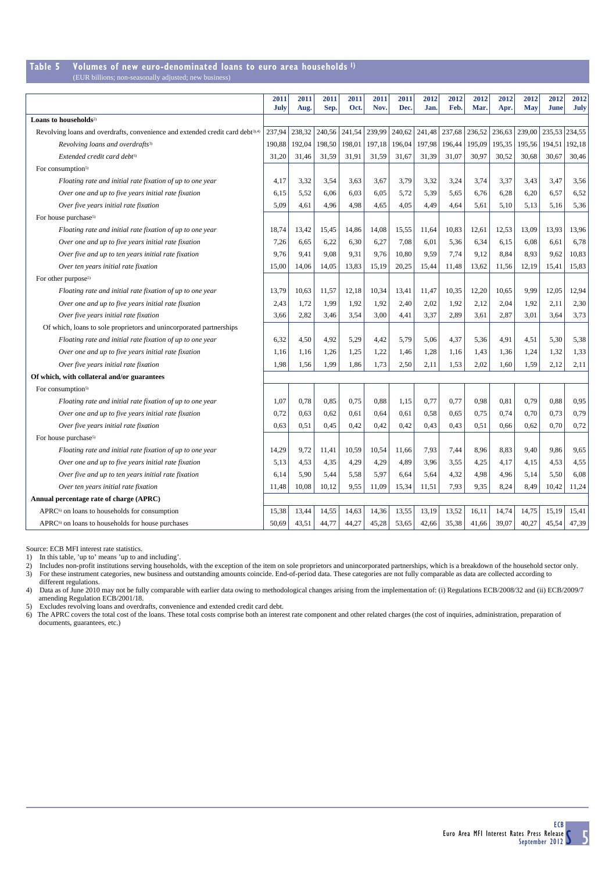### **Table 5 Volumes of new euro-denominated loans to euro area households 1)**

(EUR billions; non-seasonally adjusted; new business)

|                                                                                            | 2011<br><b>July</b> | 2011<br>Aug.  | 2011<br>Sep. | 2011<br>Oct. | 2011<br>Nov. | 2011<br>Dec. | 2012<br>Jan. | 2012<br>Feb. | 2012<br>Mar. | 2012<br>Apr.  | 2012<br><b>May</b> | 2012<br><b>June</b> | 2012<br><b>July</b> |
|--------------------------------------------------------------------------------------------|---------------------|---------------|--------------|--------------|--------------|--------------|--------------|--------------|--------------|---------------|--------------------|---------------------|---------------------|
| Loans to households <sup>2)</sup>                                                          |                     |               |              |              |              |              |              |              |              |               |                    |                     |                     |
| Revolving loans and overdrafts, convenience and extended credit card debt <sup>3),4)</sup> | 237,94              | 238,32 240,56 |              | 241,54       | 239,99       | 240,62       | 241,48       | 237,68       | 236,52       | 236,63 239,00 |                    | 235,53 234,55       |                     |
| Revolving loans and overdrafts <sup>3)</sup>                                               | 190,88              | 192,04        | 198,50       | 198,01       | 197,18       | 196,04       | 197.98       | 196,44       | 195,09       | 195,35        | 195,56             | 194,51 192,18       |                     |
| Extended credit card debt <sup>3)</sup>                                                    | 31,20               | 31,46         | 31,59        | 31,91        | 31,59        | 31,67        | 31,39        | 31,07        | 30,97        | 30,52         | 30,68              | 30,67               | 30,46               |
| For consumption <sup>5)</sup>                                                              |                     |               |              |              |              |              |              |              |              |               |                    |                     |                     |
| Floating rate and initial rate fixation of up to one year                                  | 4,17                | 3,32          | 3,54         | 3,63         | 3,67         | 3,79         | 3,32         | 3,24         | 3,74         | 3,37          | 3,43               | 3,47                | 3,56                |
| Over one and up to five years initial rate fixation                                        | 6.15                | 5.52          | 6,06         | 6.03         | 6.05         | 5,72         | 5,39         | 5.65         | 6,76         | 6,28          | 6,20               | 6,57                | 6,52                |
| Over five years initial rate fixation                                                      | 5,09                | 4,61          | 4,96         | 4,98         | 4,65         | 4,05         | 4,49         | 4,64         | 5,61         | 5,10          | 5,13               | 5,16                | 5,36                |
| For house purchase <sup>5)</sup>                                                           |                     |               |              |              |              |              |              |              |              |               |                    |                     |                     |
| Floating rate and initial rate fixation of up to one year                                  | 18,74               | 13,42         | 15,45        | 14,86        | 14,08        | 15,55        | 11,64        | 10,83        | 12,61        | 12,53         | 13,09              | 13,93               | 13,96               |
| Over one and up to five years initial rate fixation                                        | 7,26                | 6,65          | 6,22         | 6,30         | 6,27         | 7,08         | 6,01         | 5,36         | 6,34         | 6,15          | 6,08               | 6,61                | 6,78                |
| Over five and up to ten years initial rate fixation                                        | 9,76                | 9,41          | 9,08         | 9,31         | 9,76         | 10,80        | 9,59         | 7,74         | 9,12         | 8,84          | 8,93               | 9,62                | 10,83               |
| Over ten years initial rate fixation                                                       | 15,00               | 14,06         | 14,05        | 13,83        | 15,19        | 20,25        | 15,44        | 11,48        | 13,62        | 11,56         | 12,19              | 15,41               | 15,83               |
| For other purpose <sup>5)</sup>                                                            |                     |               |              |              |              |              |              |              |              |               |                    |                     |                     |
| Floating rate and initial rate fixation of up to one year                                  | 13,79               | 10,63         | 11,57        | 12,18        | 10,34        | 13,41        | 11,47        | 10,35        | 12,20        | 10,65         | 9,99               | 12,05               | 12,94               |
| Over one and up to five years initial rate fixation                                        | 2,43                | 1,72          | 1,99         | 1,92         | 1,92         | 2,40         | 2,02         | 1,92         | 2,12         | 2,04          | 1,92               | 2,11                | 2,30                |
| Over five years initial rate fixation                                                      | 3,66                | 2,82          | 3,46         | 3,54         | 3,00         | 4,41         | 3,37         | 2,89         | 3,61         | 2,87          | 3,01               | 3,64                | 3,73                |
| Of which, loans to sole proprietors and unincorporated partnerships                        |                     |               |              |              |              |              |              |              |              |               |                    |                     |                     |
| Floating rate and initial rate fixation of up to one year                                  | 6,32                | 4,50          | 4,92         | 5,29         | 4,42         | 5,79         | 5,06         | 4,37         | 5,36         | 4,91          | 4,51               | 5,30                | 5,38                |
| Over one and up to five years initial rate fixation                                        | 1,16                | 1,16          | 1,26         | 1,25         | 1,22         | 1,46         | 1,28         | 1,16         | 1,43         | 1,36          | 1,24               | 1,32                | 1,33                |
| Over five years initial rate fixation                                                      | 1,98                | 1,56          | 1,99         | 1,86         | 1,73         | 2,50         | 2,11         | 1,53         | 2,02         | 1,60          | 1,59               | 2,12                | 2,11                |
| Of which, with collateral and/or guarantees                                                |                     |               |              |              |              |              |              |              |              |               |                    |                     |                     |
| For consumption <sup>5)</sup>                                                              |                     |               |              |              |              |              |              |              |              |               |                    |                     |                     |
| Floating rate and initial rate fixation of up to one year                                  | 1,07                | 0,78          | 0,85         | 0,75         | 0.88         | 1,15         | 0,77         | 0,77         | 0,98         | 0,81          | 0,79               | 0,88                | 0,95                |
| Over one and up to five years initial rate fixation                                        | 0,72                | 0,63          | 0,62         | 0,61         | 0,64         | 0,61         | 0,58         | 0,65         | 0,75         | 0,74          | 0,70               | 0,73                | 0,79                |
| Over five years initial rate fixation                                                      | 0.63                | 0,51          | 0,45         | 0,42         | 0,42         | 0,42         | 0,43         | 0.43         | 0,51         | 0,66          | 0,62               | 0,70                | 0,72                |
| For house purchase <sup>5)</sup>                                                           |                     |               |              |              |              |              |              |              |              |               |                    |                     |                     |
| Floating rate and initial rate fixation of up to one year                                  | 14,29               | 9,72          | 11,41        | 10,59        | 10,54        | 11,66        | 7,93         | 7,44         | 8,96         | 8,83          | 9,40               | 9,86                | 9,65                |
| Over one and up to five years initial rate fixation                                        | 5,13                | 4,53          | 4,35         | 4,29         | 4,29         | 4,89         | 3,96         | 3,55         | 4,25         | 4,17          | 4,15               | 4,53                | 4,55                |
| Over five and up to ten years initial rate fixation                                        | 6.14                | 5,90          | 5,44         | 5,58         | 5,97         | 6,64         | 5,64         | 4,32         | 4,98         | 4,96          | 5,14               | 5,50                | 6,08                |
| Over ten years initial rate fixation                                                       | 11,48               | 10,08         | 10,12        | 9,55         | 11,09        | 15,34        | 11,51        | 7,93         | 9,35         | 8,24          | 8,49               | 10,42               | 11,24               |
| Annual percentage rate of charge (APRC)                                                    |                     |               |              |              |              |              |              |              |              |               |                    |                     |                     |
| APRC <sup>6)</sup> on loans to households for consumption                                  | 15,38               | 13,44         | 14,55        | 14,63        | 14,36        | 13,55        | 13,19        | 13,52        | 16,11        | 14,74         | 14,75              | 15,19               | 15,41               |
| APRC <sup>6)</sup> on loans to households for house purchases                              | 50,69               | 43,51         | 44,77        | 44,27        | 45,28        | 53,65        | 42,66        | 35,38        | 41,66        | 39.07         | 40,27              | 45,54               | 47,39               |

Source: ECB MFI interest rate statistics.

1) In this table, 'up to' means 'up to and including'.

2) Includes non-profit institutions serving households, with the exception of the item on sole proprietors and unincorporated partnerships, which is a breakdown of the household sector only.<br>3) For these instrument categor

different regulations.

4) Data as of June 2010 may not be fully comparable with earlier data owing to methodological changes arising from the implementation of: (i) Regulations ECB/2008/32 and (ii) ECB/2009/7 amending Regulation ECB/2001/18.

5) Excludes revolving loans and overdrafts, convenience and extended credit card debt.

6) The APRC covers the total cost of the loans. These total costs comprise both an interest rate component and other related charges (the cost of inquiries, administration, preparation of documents, guarantees, etc.)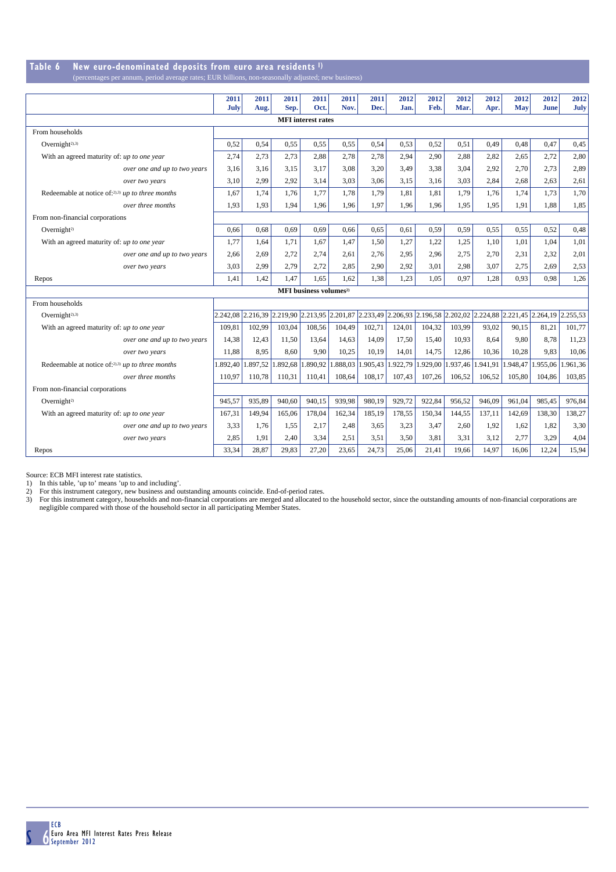### **Table 6 New euro-denominated deposits from euro area residents 1)** (percentages per annum, period average rates; EUR billions, non-seasonally adjusted; new

|                                                     | 2011     | 2011    | 2011     | 2011                               | 2011     | 2011                                                                                                                 | 2012     | 2012              | 2012   | 2012     | 2012     | 2012     | 2012    |
|-----------------------------------------------------|----------|---------|----------|------------------------------------|----------|----------------------------------------------------------------------------------------------------------------------|----------|-------------------|--------|----------|----------|----------|---------|
|                                                     | July     | Aug.    | Sep.     | Oct.                               | Nov.     | Dec.                                                                                                                 | Jan.     | Feb.              | Mar.   | Apr.     | May      | June     | July    |
|                                                     |          |         |          | <b>MFI</b> interest rates          |          |                                                                                                                      |          |                   |        |          |          |          |         |
| From households                                     |          |         |          |                                    |          |                                                                                                                      |          |                   |        |          |          |          |         |
| Overnight <sup>2),3)</sup>                          | 0.52     | 0.54    | 0,55     | 0,55                               | 0,55     | 0,54                                                                                                                 | 0,53     | 0,52              | 0,51   | 0.49     | 0.48     | 0,47     | 0,45    |
| With an agreed maturity of: up to one year          | 2,74     | 2,73    | 2,73     | 2,88                               | 2,78     | 2,78                                                                                                                 | 2,94     | 2,90              | 2,88   | 2,82     | 2,65     | 2,72     | 2,80    |
| over one and up to two years                        | 3,16     | 3,16    | 3,15     | 3,17                               | 3,08     | 3,20                                                                                                                 | 3,49     | 3,38              | 3,04   | 2,92     | 2,70     | 2,73     | 2,89    |
| over two years                                      | 3.10     | 2,99    | 2,92     | 3.14                               | 3.03     | 3.06                                                                                                                 | 3,15     | 3.16              | 3,03   | 2,84     | 2.68     | 2.63     | 2,61    |
| Redeemable at notice of: $2,3$ ) up to three months | 1,67     | 1,74    | 1,76     | 1.77                               | 1.78     | 1,79                                                                                                                 | 1,81     | 1,81              | 1,79   | 1,76     | 1.74     | 1,73     | 1,70    |
| over three months                                   | 1,93     | 1,93    | 1.94     | 1.96                               | 1.96     | 1.97                                                                                                                 | 1,96     | 1,96              | 1.95   | 1.95     | 1.91     | 1,88     | 1,85    |
| From non-financial corporations                     |          |         |          |                                    |          |                                                                                                                      |          |                   |        |          |          |          |         |
| Overnight <sup>2)</sup>                             | 0.66     | 0.68    | 0.69     | 0.69                               | 0.66     | 0.65                                                                                                                 | 0.61     | 0.59              | 0.59   | 0.55     | 0.55     | 0.52     | 0,48    |
| With an agreed maturity of: up to one year          | 1,77     | 1,64    | 1,71     | 1.67                               | 1,47     | 1,50                                                                                                                 | 1,27     | 1,22              | 1,25   | 1,10     | 1,01     | 1,04     | 1,01    |
| over one and up to two years                        | 2,66     | 2,69    | 2,72     | 2,74                               | 2,61     | 2,76                                                                                                                 | 2,95     | 2,96              | 2,75   | 2,70     | 2,31     | 2,32     | 2,01    |
| over two years                                      | 3.03     | 2,99    | 2.79     | 2.72                               | 2,85     | 2.90                                                                                                                 | 2,92     | 3,01              | 2.98   | 3,07     | 2.75     | 2.69     | 2,53    |
| Repos                                               | 1.41     | 1.42    | 1.47     | 1.65                               | 1.62     | 1.38                                                                                                                 | 1.23     | 1.05              | 0.97   | 1.28     | 0.93     | 0.98     | 1,26    |
|                                                     |          |         |          | MFI business volumes <sup>2)</sup> |          |                                                                                                                      |          |                   |        |          |          |          |         |
| From households                                     |          |         |          |                                    |          |                                                                                                                      |          |                   |        |          |          |          |         |
| Overnight <sup>2),3)</sup>                          |          |         |          |                                    |          | 2.242,08 2.216,39 2.219,90 2.213,95 2.201,87 2.233,49 2.206,93 2.196,58 2.202,02 2.224,88 2.221,45 2.264,19 2.255,53 |          |                   |        |          |          |          |         |
| With an agreed maturity of: up to one year          | 109,81   | 102,99  | 103,04   | 108,56                             | 104,49   | 102,71                                                                                                               | 124,01   | 104,32            | 103,99 | 93,02    | 90,15    | 81,21    | 101,77  |
| over one and up to two years                        | 14,38    | 12,43   | 11,50    | 13,64                              | 14,63    | 14,09                                                                                                                | 17,50    | 15,40             | 10,93  | 8.64     | 9.80     | 8,78     | 11,23   |
| over two years                                      | 11,88    | 8.95    | 8.60     | 9.90                               | 10.25    | 10.19                                                                                                                | 14.01    | 14.75             | 12.86  | 10.36    | 10.28    | 9.83     | 10,06   |
| Redeemable at notice of:2),3) up to three months    | 1.892,40 | .897,52 | 1.892,68 | 1.890,92                           | 1.888,03 | 1.905,43                                                                                                             | 1.922,79 | 1.929,00 1.937,46 |        | 1.941,91 | 1.948,47 | 1.955,06 | .961,36 |
| over three months                                   | 110,97   | 110,78  | 110,31   | 110,41                             | 108,64   | 108,17                                                                                                               | 107,43   | 107,26            | 106,52 | 106,52   | 105,80   | 104,86   | 103,85  |
| From non-financial corporations                     |          |         |          |                                    |          |                                                                                                                      |          |                   |        |          |          |          |         |
| Overnight <sup>2)</sup>                             | 945.57   | 935.89  | 940.60   | 940.15                             | 939,98   | 980,19                                                                                                               | 929,72   | 922,84            | 956,52 | 946.09   | 961.04   | 985.45   | 976,84  |
| With an agreed maturity of: up to one year          | 167,31   | 149,94  | 165,06   | 178,04                             | 162,34   | 185,19                                                                                                               | 178,55   | 150,34            | 144,55 | 137,11   | 142,69   | 138,30   | 138,27  |
| over one and up to two years                        | 3.33     | 1,76    | 1.55     | 2,17                               | 2,48     | 3,65                                                                                                                 | 3,23     | 3,47              | 2,60   | 1,92     | 1.62     | 1.82     | 3,30    |
| over two years                                      | 2,85     | 1.91    | 2.40     | 3.34                               | 2.51     | 3.51                                                                                                                 | 3,50     | 3,81              | 3.31   | 3.12     | 2.77     | 3.29     | 4,04    |
| Repos                                               | 33,34    | 28,87   | 29,83    | 27,20                              | 23,65    | 24,73                                                                                                                | 25,06    | 21.41             | 19.66  | 14.97    | 16.06    | 12,24    | 15,94   |

Source: ECB MFI interest rate statistics.<br>1) In this table, 'up to' means 'up to and including'.<br>2) For this instrument category, new business and outstanding amounts coincide. End-of-period rates.<br>3) For this instrument c